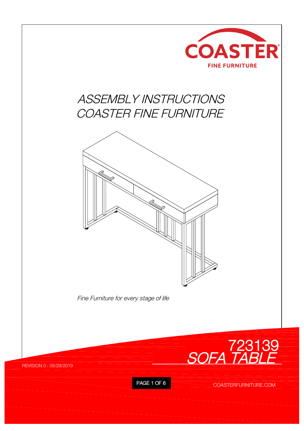

## *ASSEMBLY INSTRUCTIONS COASTER FINE FURNITURE*



*Fine Furniture for every stage of life*

REVISION 0 : 05/29/2019



PAGE 1 OF 6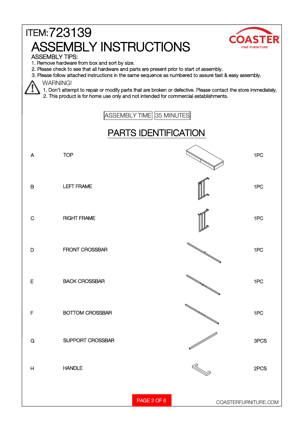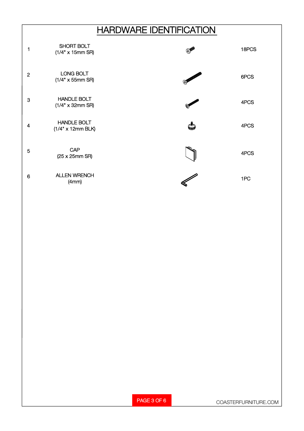## **HARDWARE IDENTIFICATION**

| 1              | SHORT BOLT<br>$(1/4" \times 15$ mm SR)          |            | 18PCS |
|----------------|-------------------------------------------------|------------|-------|
| $\overline{2}$ | LONG BOLT<br>$(1/4" \times 55$ mm SR)           | O DECEMBER | 6PCS  |
| 3              | <b>HANDLE BOLT</b><br>$(1/4" \times 32$ mm SR)  |            | 4PCS  |
| 4              | <b>HANDLE BOLT</b><br>$(1/4" \times 12$ mm BLK) |            | 4PCS  |
| 5              | CAP<br>(25 x 25mm SR)                           |            | 4PCS  |
| 6              | <b>ALLEN WRENCH</b><br>(4mm)                    |            | 1PC   |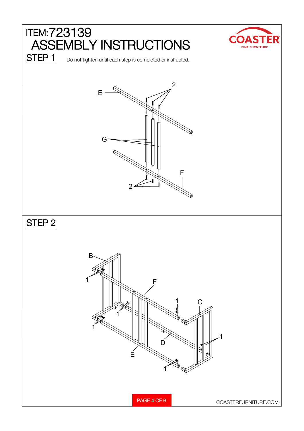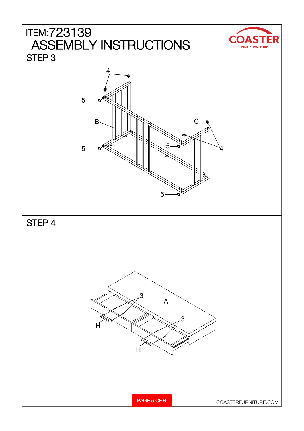